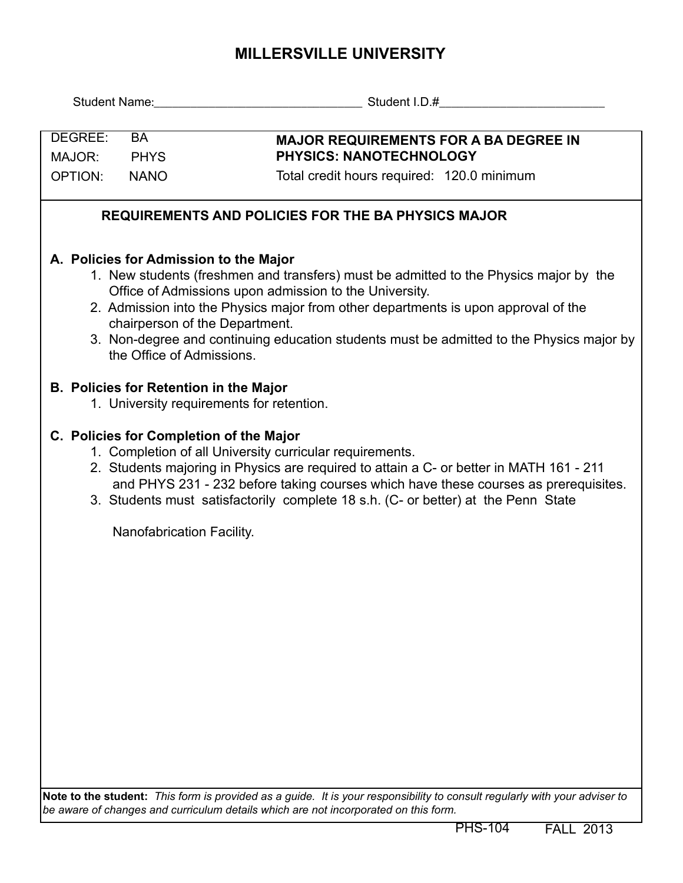## **MILLERSVILLE UNIVERSITY**

| DEGREE:<br><b>BA</b>                                                                                                                                                                                                                                                                                                                                                                                                                       |  | <b>MAJOR REQUIREMENTS FOR A BA DEGREE IN</b> |  |  |  |  |  |  |  |
|--------------------------------------------------------------------------------------------------------------------------------------------------------------------------------------------------------------------------------------------------------------------------------------------------------------------------------------------------------------------------------------------------------------------------------------------|--|----------------------------------------------|--|--|--|--|--|--|--|
| <b>PHYS</b><br>MAJOR:                                                                                                                                                                                                                                                                                                                                                                                                                      |  | <b>PHYSICS: NANOTECHNOLOGY</b>               |  |  |  |  |  |  |  |
| <b>OPTION:</b><br><b>NANO</b>                                                                                                                                                                                                                                                                                                                                                                                                              |  | Total credit hours required: 120.0 minimum   |  |  |  |  |  |  |  |
| <b>REQUIREMENTS AND POLICIES FOR THE BA PHYSICS MAJOR</b>                                                                                                                                                                                                                                                                                                                                                                                  |  |                                              |  |  |  |  |  |  |  |
| A. Policies for Admission to the Major<br>1. New students (freshmen and transfers) must be admitted to the Physics major by the<br>Office of Admissions upon admission to the University.<br>2. Admission into the Physics major from other departments is upon approval of the<br>chairperson of the Department.<br>3. Non-degree and continuing education students must be admitted to the Physics major by<br>the Office of Admissions. |  |                                              |  |  |  |  |  |  |  |
| <b>B. Policies for Retention in the Major</b><br>1. University requirements for retention.                                                                                                                                                                                                                                                                                                                                                 |  |                                              |  |  |  |  |  |  |  |
| C. Policies for Completion of the Major<br>1. Completion of all University curricular requirements.<br>2. Students majoring in Physics are required to attain a C- or better in MATH 161 - 211<br>and PHYS 231 - 232 before taking courses which have these courses as prerequisites.<br>3. Students must satisfactorily complete 18 s.h. (C- or better) at the Penn State                                                                 |  |                                              |  |  |  |  |  |  |  |
|                                                                                                                                                                                                                                                                                                                                                                                                                                            |  | Nanofabrication Facility.                    |  |  |  |  |  |  |  |
|                                                                                                                                                                                                                                                                                                                                                                                                                                            |  |                                              |  |  |  |  |  |  |  |
|                                                                                                                                                                                                                                                                                                                                                                                                                                            |  |                                              |  |  |  |  |  |  |  |
|                                                                                                                                                                                                                                                                                                                                                                                                                                            |  |                                              |  |  |  |  |  |  |  |
|                                                                                                                                                                                                                                                                                                                                                                                                                                            |  |                                              |  |  |  |  |  |  |  |
|                                                                                                                                                                                                                                                                                                                                                                                                                                            |  |                                              |  |  |  |  |  |  |  |
|                                                                                                                                                                                                                                                                                                                                                                                                                                            |  |                                              |  |  |  |  |  |  |  |
|                                                                                                                                                                                                                                                                                                                                                                                                                                            |  |                                              |  |  |  |  |  |  |  |
|                                                                                                                                                                                                                                                                                                                                                                                                                                            |  |                                              |  |  |  |  |  |  |  |

**Note to the student:** *This form is provided as a guide. It is your responsibility to consult regularly with your adviser to be aware of changes and curriculum details which are not incorporated on this form.*